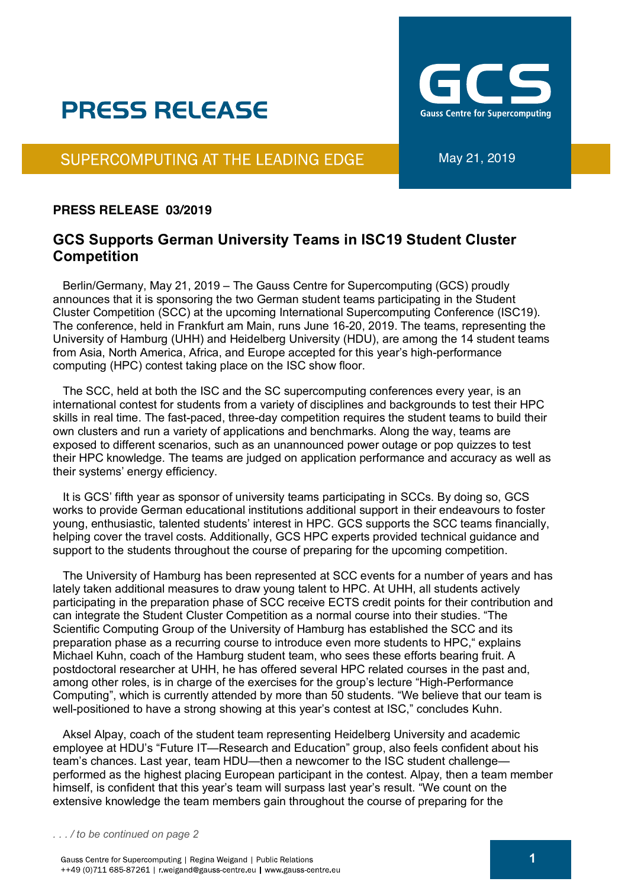# **PRESS RELEASE**

**Gauss Centre for Supercomputing** 

### SUPERCOMPUTING AT THE LEADING EDGE

#### **PRESS RELEASE 03/2019**

### **GCS Supports German University Teams in ISC19 Student Cluster Competition**

 Berlin/Germany, May 21, 2019 – The Gauss Centre for Supercomputing (GCS) proudly announces that it is sponsoring the two German student teams participating in the Student Cluster Competition (SCC) at the upcoming International Supercomputing Conference (ISC19). The conference, held in Frankfurt am Main, runs June 16-20, 2019. The teams, representing the University of Hamburg (UHH) and Heidelberg University (HDU), are among the 14 student teams from Asia, North America, Africa, and Europe accepted for this year's high-performance computing (HPC) contest taking place on the ISC show floor.

 The SCC, held at both the ISC and the SC supercomputing conferences every year, is an international contest for students from a variety of disciplines and backgrounds to test their HPC skills in real time. The fast-paced, three-day competition requires the student teams to build their own clusters and run a variety of applications and benchmarks. Along the way, teams are exposed to different scenarios, such as an unannounced power outage or pop quizzes to test their HPC knowledge. The teams are judged on application performance and accuracy as well as their systems' energy efficiency.

 It is GCS' fifth year as sponsor of university teams participating in SCCs. By doing so, GCS works to provide German educational institutions additional support in their endeavours to foster young, enthusiastic, talented students' interest in HPC. GCS supports the SCC teams financially, helping cover the travel costs. Additionally, GCS HPC experts provided technical guidance and support to the students throughout the course of preparing for the upcoming competition.

 The University of Hamburg has been represented at SCC events for a number of years and has lately taken additional measures to draw young talent to HPC. At UHH, all students actively participating in the preparation phase of SCC receive ECTS credit points for their contribution and can integrate the Student Cluster Competition as a normal course into their studies. "The Scientific Computing Group of the University of Hamburg has established the SCC and its preparation phase as a recurring course to introduce even more students to HPC," explains Michael Kuhn, coach of the Hamburg student team, who sees these efforts bearing fruit. A postdoctoral researcher at UHH, he has offered several HPC related courses in the past and, among other roles, is in charge of the exercises for the group's lecture "High-Performance Computing", which is currently attended by more than 50 students. "We believe that our team is well-positioned to have a strong showing at this year's contest at ISC," concludes Kuhn.

 Aksel Alpay, coach of the student team representing Heidelberg University and academic employee at HDU's "Future IT—Research and Education" group, also feels confident about his team's chances. Last year, team HDU—then a newcomer to the ISC student challenge performed as the highest placing European participant in the contest. Alpay, then a team member himself, is confident that this year's team will surpass last year's result. "We count on the extensive knowledge the team members gain throughout the course of preparing for the

*. . . / to be continued on page 2*

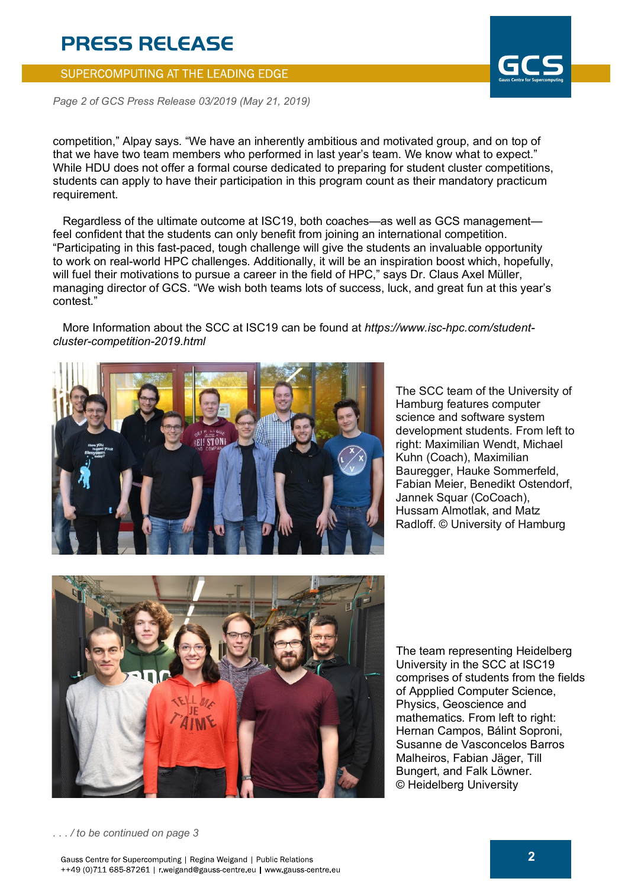# **PRESS RELEASE**

#### SUPERCOMPUTING AT THE LEADING EDGE

*Page 2 of GCS Press Release 03/2019 (May 21, 2019)*

competition," Alpay says. "We have an inherently ambitious and motivated group, and on top of that we have two team members who performed in last year's team. We know what to expect." While HDU does not offer a formal course dedicated to preparing for student cluster competitions, students can apply to have their participation in this program count as their mandatory practicum requirement.

 Regardless of the ultimate outcome at ISC19, both coaches—as well as GCS management feel confident that the students can only benefit from joining an international competition. "Participating in this fast-paced, tough challenge will give the students an invaluable opportunity to work on real-world HPC challenges. Additionally, it will be an inspiration boost which, hopefully, will fuel their motivations to pursue a career in the field of HPC," says Dr. Claus Axel Müller, managing director of GCS. "We wish both teams lots of success, luck, and great fun at this year's contest."

 More Information about the SCC at ISC19 can be found at *https://www.isc-hpc.com/studentcluster-competition-2019.html*



The SCC team of the University of Hamburg features computer science and software system development students. From left to right: Maximilian Wendt, Michael Kuhn (Coach), Maximilian Bauregger, Hauke Sommerfeld, Fabian Meier, Benedikt Ostendorf, Jannek Squar (CoCoach), Hussam Almotlak, and Matz Radloff. © University of Hamburg



The team representing Heidelberg University in the SCC at ISC19 comprises of students from the fields of Appplied Computer Science, Physics, Geoscience and mathematics. From left to right: Hernan Campos, Bálint Soproni, Susanne de Vasconcelos Barros Malheiros, Fabian Jäger, Till Bungert, and Falk Löwner. © Heidelberg University

*. . . / to be continued on page 3*

Gauss Centre for Supercomputing | Regina Weigand | Public Relations ++49 (0)711 685-87261 | r.weigand@gauss-centre.eu | www.gauss-centre.eu